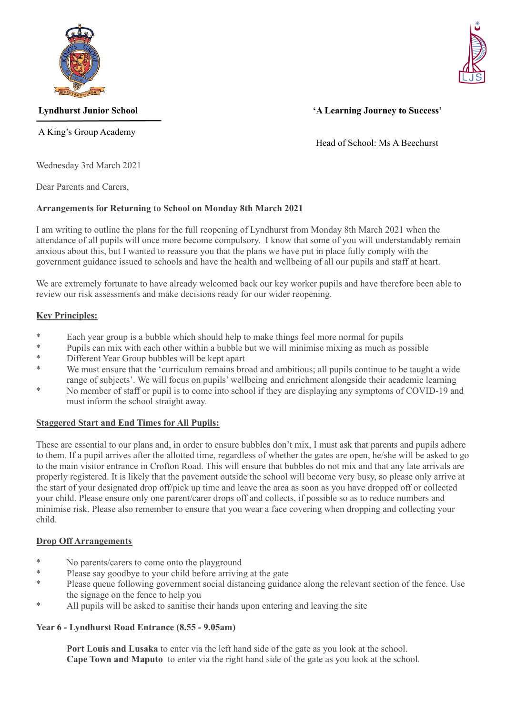

A King's Group Academy



# **Lyndhurst Junior School 'A Learning Journey to Success'**

Head of School: Ms A Beechurst

Wednesday 3rd March 2021

Dear Parents and Carers,

# **Arrangements for Returning to School on Monday 8th March 2021**

I am writing to outline the plans for the full reopening of Lyndhurst from Monday 8th March 2021 when the attendance of all pupils will once more become compulsory. I know that some of you will understandably remain anxious about this, but I wanted to reassure you that the plans we have put in place fully comply with the government guidance issued to schools and have the health and wellbeing of all our pupils and staff at heart.

We are extremely fortunate to have already welcomed back our key worker pupils and have therefore been able to review our risk assessments and make decisions ready for our wider reopening.

# **Key Principles:**

- \* Each year group is a bubble which should help to make things feel more normal for pupils<br>\* Pupils can mix with soch other within a hyphble but we will minimize mixing as much as not
- \* Pupils can mix with each other within a bubble but we will minimise mixing as much as possible  $\ddot{\text{R}}$
- Different Year Group bubbles will be kept apart
- \* We must ensure that the 'curriculum remains broad and ambitious; all pupils continue to be taught a wide range of subjects'. We will focus on pupils' wellbeing and enrichment alongside their academic learning
- \* No member of staff or pupil is to come into school if they are displaying any symptoms of COVID-19 and must inform the school straight away.

## **Staggered Start and End Times for All Pupils:**

These are essential to our plans and, in order to ensure bubbles don't mix, I must ask that parents and pupils adhere to them. If a pupil arrives after the allotted time, regardless of whether the gates are open, he/she will be asked to go to the main visitor entrance in Crofton Road. This will ensure that bubbles do not mix and that any late arrivals are properly registered. It is likely that the pavement outside the school will become very busy, so please only arrive at the start of your designated drop off/pick up time and leave the area as soon as you have dropped off or collected your child. Please ensure only one parent/carer drops off and collects, if possible so as to reduce numbers and minimise risk. Please also remember to ensure that you wear a face covering when dropping and collecting your child.

## **Drop Off Arrangements**

- \* No parents/carers to come onto the playground<br>\* Plasse say goodby to your obild before arriving
- \* Please say goodbye to your child before arriving at the gate
- Please queue following government social distancing guidance along the relevant section of the fence. Use the signage on the fence to help you
- \* All pupils will be asked to sanitise their hands upon entering and leaving the site

## **Year 6 - Lyndhurst Road Entrance (8.55 - 9.05am)**

**Port Louis and Lusaka** to enter via the left hand side of the gate as you look at the school. **Cape Town and Maputo** to enter via the right hand side of the gate as you look at the school.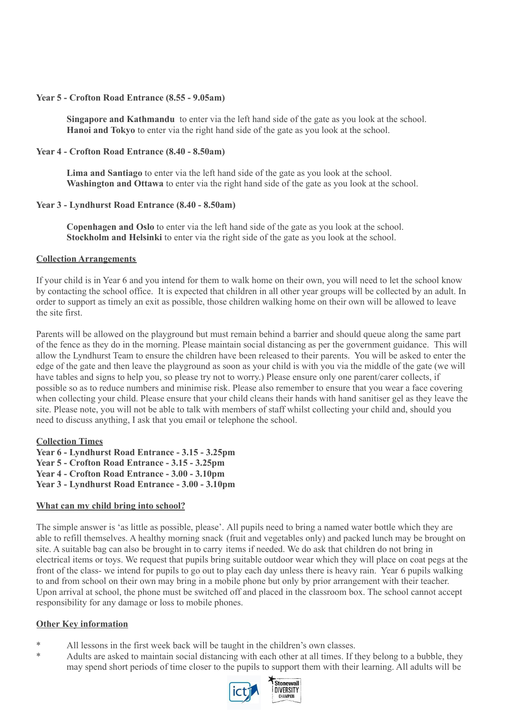#### **Year 5 - Crofton Road Entrance (8.55 - 9.05am)**

**Singapore and Kathmandu** to enter via the left hand side of the gate as you look at the school. **Hanoi and Tokyo** to enter via the right hand side of the gate as you look at the school.

### **Year 4 - Crofton Road Entrance (8.40 - 8.50am)**

**Lima and Santiago** to enter via the left hand side of the gate as you look at the school. **Washington and Ottawa** to enter via the right hand side of the gate as you look at the school.

### **Year 3 - Lyndhurst Road Entrance (8.40 - 8.50am)**

**Copenhagen and Oslo** to enter via the left hand side of the gate as you look at the school. **Stockholm and Helsinki** to enter via the right side of the gate as you look at the school.

### **Collection Arrangements**

If your child is in Year 6 and you intend for them to walk home on their own, you will need to let the school know by contacting the school office. It is expected that children in all other year groups will be collected by an adult. In order to support as timely an exit as possible, those children walking home on their own will be allowed to leave the site first.

Parents will be allowed on the playground but must remain behind a barrier and should queue along the same part of the fence as they do in the morning. Please maintain social distancing as per the government guidance. This will allow the Lyndhurst Team to ensure the children have been released to their parents. You will be asked to enter the edge of the gate and then leave the playground as soon as your child is with you via the middle of the gate (we will have tables and signs to help you, so please try not to worry.) Please ensure only one parent/carer collects, if possible so as to reduce numbers and minimise risk. Please also remember to ensure that you wear a face covering when collecting your child. Please ensure that your child cleans their hands with hand sanitiser gel as they leave the site. Please note, you will not be able to talk with members of staff whilst collecting your child and, should you need to discuss anything, I ask that you email or telephone the school.

**Collection Times Year 6 - Lyndhurst Road Entrance - 3.15 - 3.25pm Year 5 - Crofton Road Entrance - 3.15 - 3.25pm Year 4 - Crofton Road Entrance - 3.00 - 3.10pm Year 3 - Lyndhurst Road Entrance - 3.00 - 3.10pm**

#### **What can my child bring into school?**

The simple answer is 'as little as possible, please'. All pupils need to bring a named water bottle which they are able to refill themselves. A healthy morning snack (fruit and vegetables only) and packed lunch may be brought on site. A suitable bag can also be brought in to carry items if needed. We do ask that children do not bring in electrical items or toys. We request that pupils bring suitable outdoor wear which they will place on coat pegs at the front of the class- we intend for pupils to go out to play each day unless there is heavy rain. Year 6 pupils walking to and from school on their own may bring in a mobile phone but only by prior arrangement with their teacher. Upon arrival at school, the phone must be switched off and placed in the classroom box. The school cannot accept responsibility for any damage or loss to mobile phones.

#### **Other Key information**

- \* All lessons in the first week back will be taught in the children's own classes.
- \* Adults are asked to maintain social distancing with each other at all times. If they belong to a bubble, they may spend short periods of time closer to the pupils to support them with their learning. All adults will be